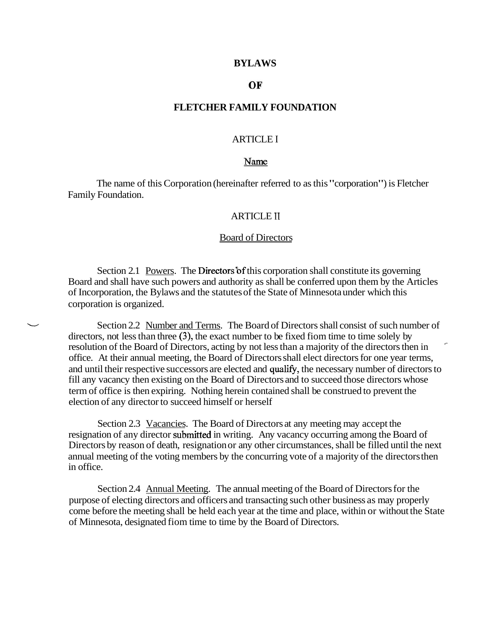### **BYLAWS**

# OF

# **FLETCHER FAMILY FOUNDATION**

# ARTICLE I

### Name

The name of this Corporation (hereinafter referred to as this "corporation") is Fletcher Family Foundation.

# ARTICLE I1

## Board of Directors

Section 2.1 Powers. The Directors of this corporation shall constitute its governing Board and shall have such powers and authority as shall be conferred upon them by the Articles of Incorporation, the Bylaws and the statutes of the State of Minnesota under which this corporation is organized.

Section 2.2 Number and Terms. The Board of Directors shall consist of such number of directors, not less than three (3), the exact number to be fixed fiom time to time solely by resolution of the Board of Directors, acting by not less than a majority of the directors then in office. At their annual meeting, the Board of Directors shall elect directors for one year terms, and until their respective successors are elected and qualify, the necessary number of directors to fill any vacancy then existing on the Board of Directors and to succeed those directors whose term of office is then expiring. Nothing herein contained shall be construed to prevent the election of any director to succeed himself or herself

Section 2.3 Vacancies. The Board of Directors at any meeting may accept the resignation of any director submitted in writing. Any vacancy occurring among the Board of Directors by reason of death, resignation or any other circumstances, shall be filled until the next annual meeting of the voting members by the concurring vote of a majority of the directors then in office.

Section 2.4 Annual Meeting. The annual meeting of the Board of Directors for the purpose of electing directors and officers and transacting such other business as may properly come before the meeting shall be held each year at the time and place, within or without the State of Minnesota, designated fiom time to time by the Board of Directors.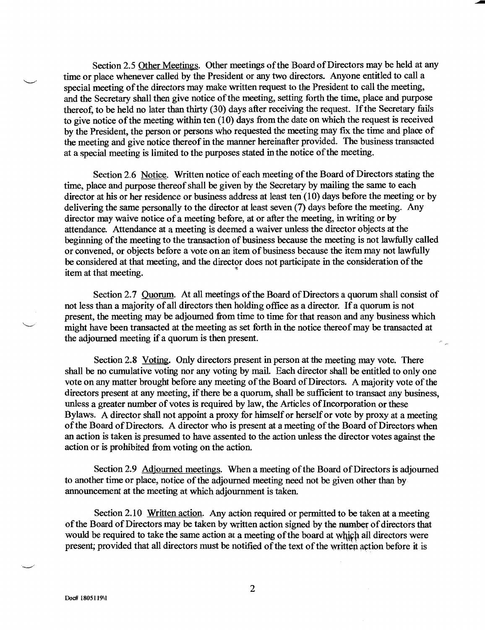Section 2.5 Other Meetings. Other meetings of the Board of Directors may be held at any time or place whenever called by the President or any two directors. Anyone entitled to call a special meeting of the directors may make written request to the President to call the meeting, and the Secretary shall then give notice of the meeting, setting forth the time, place and purpose thereof, to be held no later than thirty (30) days after receiving the request. If the Secretary fails to give notice of the meeting within ten  $(10)$  days from the date on which the request is received by the President, the person or persons who requested the meeting may fix the time and place of the meeting and give notice thereof in the manner hereinafter provided. The business transacted at a special meeting is limited to the purposes stated in the notice of the meeting.

Section 2.6 Notice. Written notice of each meeting of the Board of Directors stating the time, place and purpose thereof shall be given by the Secretary by mailing the same to each director at his or her residence or business address at least ten (10) days before the meeting or by delivering the same personally to the director at least seven (7) days before the meeting. Any director may waive notice of a meeting before, at or after the meeting, in writing or by attendance. Attendance at a meeting is deemed a waiver unless the director objects at the beginning of the meeting to the transaction of business because the meeting is not lawfully called or convened, or objects before a vote on an item of business because the item may not lawfully be considered at that meeting, and the director does not participate in the consideration of the item at that meeting.

Section 2.7 Ouorum. At all meetings of the Board of Directors a quorum shall consist of not less than a majority of all directors then holding office as a director. If a quorum is not present, the meeting may be adjourned from time to time for that reason and any business which might have been transacted at the meeting as set forth in the notice thereof may be transacted at the adjourned meeting if a quorum is then present.

Section 2.8 Voting. Only directors present in person at the meeting may vote. There shall be no cumulative voting nor any voting by mail. Each director shall be entitled to only one vote on any matter brought before any meeting of the Board of Directors. A majority vote of the directors present at any meeting, if there be a quorum, shall be sufficient to transact any business, unless a greater number of votes is required by law, the Articles of Incorporation or these Bylaws. A director shall not appoint a proxy for himself or herself or vote by proxy at a meeting of the Board of Directors. A director who is present at a meeting of the Board of Directors when an action is taken is presumed to have assented to the action unless the director votes against the action or is prohibited from voting on the action.

Section 2.9 Adjourned meetings. When a meeting of the Board of Directors is adjourned to another time or place, notice of the adjourned meeting need not be given other than by announcement at the meeting at which adjournment is taken.

Section 2.10 Written action. Any action required or permitted to be taken at a meeting of the Board of Directors may be taken by written action signed by the number of directors that would be required to take the same action at a meeting of the board at which all directors were present; provided that all directors must be notified of the text of the written action before it is

 $\overline{2}$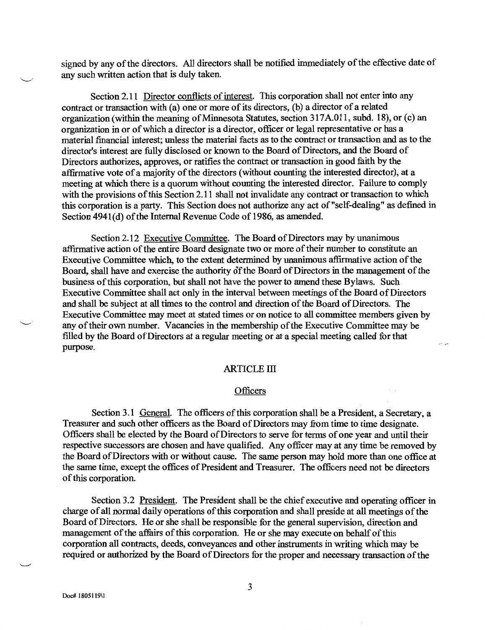signed by any of the directors. All directors shall be notified immediately of the effective date of any such written action that is duly taken.

Section 2.11 Director conflicts of interest. This corporation shall not enter into any contract or transaction with (a) one or more of its directors, (b) a director of a related organization (within the meaning of Minnesota Statutes, section 317A.011, subd. 18), or (c) an organization in or of which a director is a director, officer or legal representative or has a material financial interest; unless the material facts as to the contract or transaction and as to the director's interest are fully disclosed or known to the Board of Directors, and the Board of Directors authorizes, approves, or ratifies the contract or transaction in good faith by the affirmative vote of a majority of the directors (without counting the interested director), at a meeting at which there is a quorum without counting the interested director. Failure to comply with the provisions of this Section 2.11 shall not invalidate any contract or transaction to which this corporation is a party. This Section does not authorize any act of "self-dealing" as defined in Section 4941(d) of the Internal Revenue Code of 1986, as amended.

Section 2.12 Executive Committee. The Board of Directors may by unanimous affirmative action of the entire Board designate two or more of their number to constitute an Executive Committee which, to the extent determined by unanimous affirmative action of the Board, shall have and exercise the authority of the Board of Directors in the management of the business of this corporation, but shall not have the power to amend these Bylaws. Such Executive Committee shall act only in the interval between meetings of the Board of Directors and shall be subject at all times to the control and direction of the Board of Directors. The Executive Committee may meet at stated times or on notice to all committee members given by any of their own number. Vacancies in the membership of the Executive Committee may be filled by the Board of Directors at a regular meeting or at a special meeting called for that purpose.

# **ARTICLE III**

#### Officers

Section 3.1 General. The officers of this corporation shall be a President, a Secretary, a Treasurer and such other officers as the Board of Directors may from time to time designate. Officers shall be elected by the Board of Directors to serve for terms of one year and until their respective successors are chosen and have qualified. Any officer may at any time be removed by the Board of Directors with or without cause. The same person may hold more than one office at the same time, except the offices of President and Treasurer. The officers need not be directors of this corporation.

Section 3.2 President. The President shall be the chief executive and operating officer in charge of all normal daily operations of this corporation and shall preside at all meetings of the Board of Directors. He or she shall be responsible for the general supervision, direction and management of the affairs of this corporation. He or she may execute on behalf of this corporation all contracts, deeds, conveyances and other instruments in writing which may be required or authorized by the Board of Directors for the proper and necessary transaction of the

3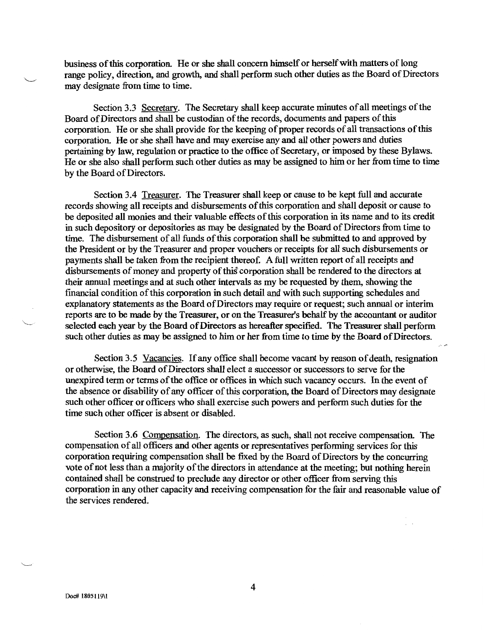business of this corporation. He or she shall concern himself or herself with matters of long range policy, direction, and growth, and shall perform such other duties as the Board of Directors may designate from time to time.

Section 3.3 Secretary. The Secretary shall keep accurate minutes of all meetings of the Board of Directors and shall be custodian of the records, documents and papers of this corporation. He or she shall provide for the keeping of proper records of all transactions of this corporation. He or she shall have and may exercise any and all other powers and duties pertaining by law, regulation or practice to the office of Secretary, or imposed by these Bylaws. He or she also shall perform such other duties as may be assigned to him or her from time to time by the Board of Directors.

Section 3.4 Treasurer. The Treasurer shall keep or cause to be kept full and accurate records showing all receipts and disbursements of this corporation and shall deposit or cause to be deposited all monies and their valuable effects of this corporation in its name and to its credit in such depository or depositories as may be designated by the Board of Directors from time to time. The disbursement of all funds of this corporation shall be submitted to and approved by the President or by the Treasurer and proper vouchers or receipts for all such disbursements or payments shall be taken from the recipient thereof. A full written report of all receipts and disbursements of money and property of this corporation shall be rendered to the directors at their annual meetings and at such other intervals as my be requested by them, showing the financial condition of this corporation in such detail and with such supporting schedules and explanatory statements as the Board of Directors may require or request; such annual or interim reports are to be made by the Treasurer, or on the Treasurer's behalf by the accountant or auditor selected each year by the Board of Directors as hereafter specified. The Treasurer shall perform such other duties as may be assigned to him or her from time to time by the Board of Directors.

Section 3.5 Vacancies. If any office shall become vacant by reason of death, resignation or otherwise, the Board of Directors shall elect a successor or successors to serve for the unexpired term or terms of the office or offices in which such vacancy occurs. In the event of the absence or disability of any officer of this corporation, the Board of Directors may designate such other officer or officers who shall exercise such powers and perform such duties for the time such other officer is absent or disabled.

Section 3.6 Compensation. The directors, as such, shall not receive compensation. The compensation of all officers and other agents or representatives performing services for this corporation requiring compensation shall be fixed by the Board of Directors by the concurring vote of not less than a majority of the directors in attendance at the meeting; but nothing herein contained shall be construed to preclude any director or other officer from serving this corporation in any other capacity and receiving compensation for the fair and reasonable value of the services rendered.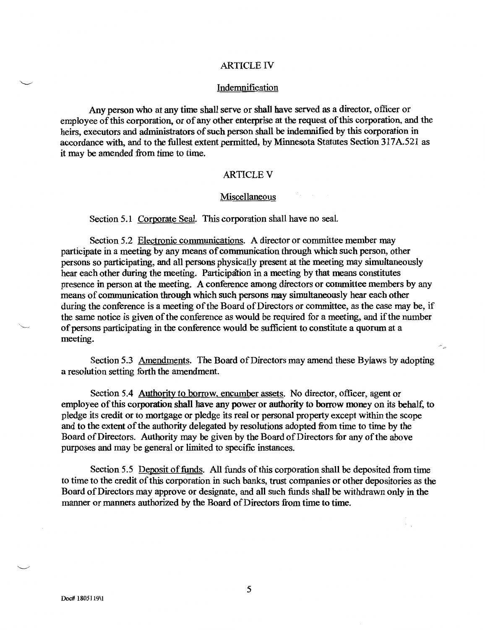### **ARTICLE IV**

## Indemnification

Any person who at any time shall serve or shall have served as a director, officer or employee of this corporation, or of any other enterprise at the request of this corporation, and the heirs, executors and administrators of such person shall be indemnified by this corporation in accordance with, and to the fullest extent permitted, by Minnesota Statutes Section 317A.521 as it may be amended from time to time.

## **ARTICLE V**

## Miscellaneous

Section 5.1 Corporate Seal. This corporation shall have no seal.

Section 5.2 Electronic communications. A director or committee member may participate in a meeting by any means of communication through which such person, other persons so participating, and all persons physically present at the meeting may simultaneously hear each other during the meeting. Participation in a meeting by that means constitutes presence in person at the meeting. A conference among directors or committee members by any means of communication through which such persons may simultaneously hear each other during the conference is a meeting of the Board of Directors or committee, as the case may be, if the same notice is given of the conference as would be required for a meeting, and if the number of persons participating in the conference would be sufficient to constitute a quorum at a meeting.

Section 5.3 Amendments. The Board of Directors may amend these Bylaws by adopting a resolution setting forth the amendment.

Section 5.4 Authority to borrow, encumber assets. No director, officer, agent or employee of this corporation shall have any power or authority to borrow money on its behalf, to pledge its credit or to mortgage or pledge its real or personal property except within the scope and to the extent of the authority delegated by resolutions adopted from time to time by the Board of Directors. Authority may be given by the Board of Directors for any of the above purposes and may be general or limited to specific instances.

Section 5.5 Deposit of funds. All funds of this corporation shall be deposited from time to time to the credit of this corporation in such banks, trust companies or other depositories as the Board of Directors may approve or designate, and all such funds shall be withdrawn only in the manner or manners authorized by the Board of Directors from time to time.